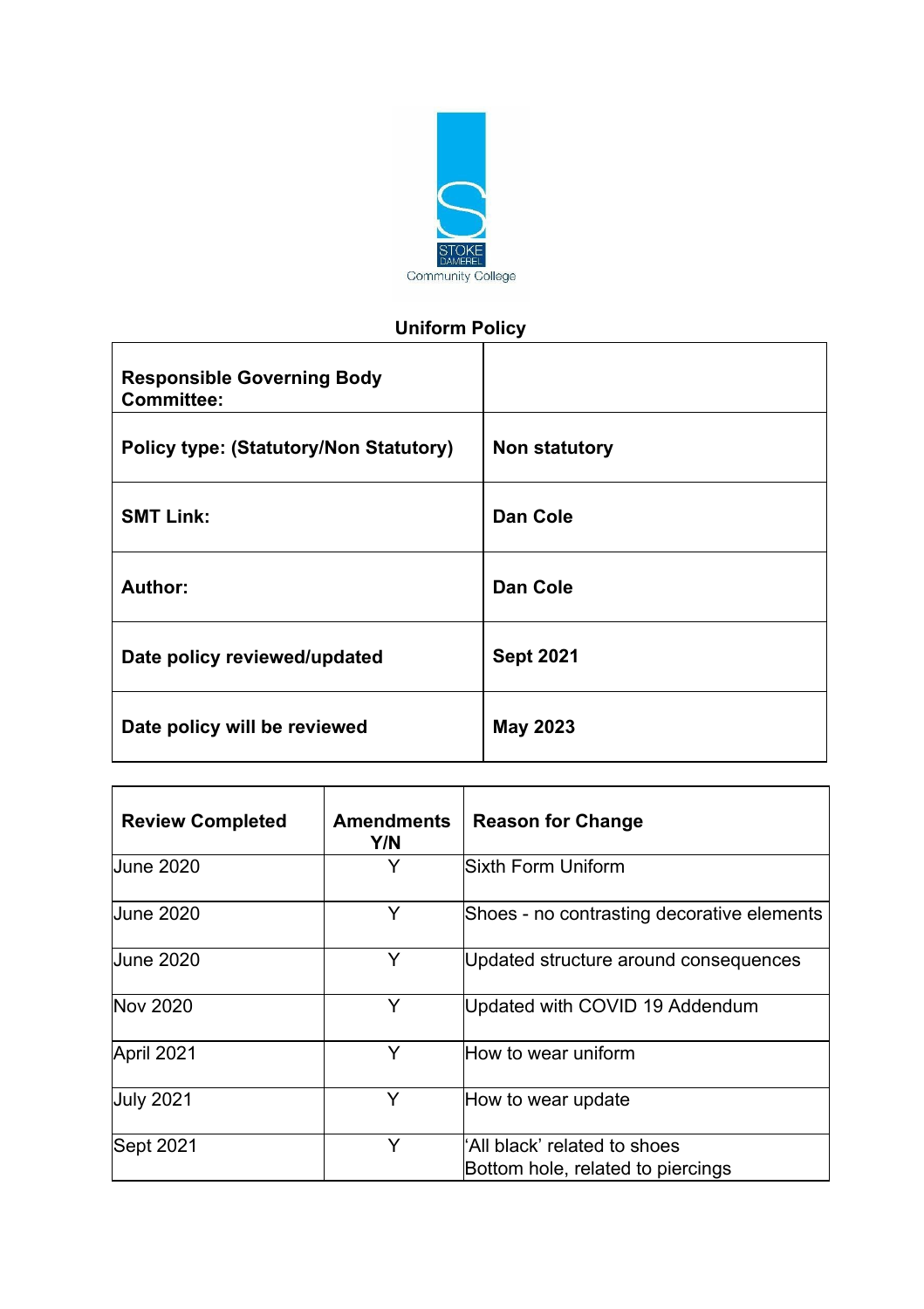

# **Uniform Policy**

| <b>Responsible Governing Body</b><br><b>Committee:</b> |                  |
|--------------------------------------------------------|------------------|
| <b>Policy type: (Statutory/Non Statutory)</b>          | Non statutory    |
| <b>SMT Link:</b>                                       | Dan Cole         |
| Author:                                                | Dan Cole         |
| Date policy reviewed/updated                           | <b>Sept 2021</b> |
| Date policy will be reviewed                           | <b>May 2023</b>  |

| <b>Review Completed</b> | <b>Amendments</b><br>Y/N | <b>Reason for Change</b>                                          |  |
|-------------------------|--------------------------|-------------------------------------------------------------------|--|
| <b>June 2020</b>        | Y                        | Sixth Form Uniform                                                |  |
| <b>June 2020</b>        | Y                        | Shoes - no contrasting decorative elements                        |  |
| <b>June 2020</b>        | Y                        | Updated structure around consequences                             |  |
| Nov 2020                | Y                        | Updated with COVID 19 Addendum                                    |  |
| April 2021              | Y                        | How to wear uniform                                               |  |
| <b>July 2021</b>        | Y                        | How to wear update                                                |  |
| Sept 2021               | Y                        | 'All black' related to shoes<br>Bottom hole, related to piercings |  |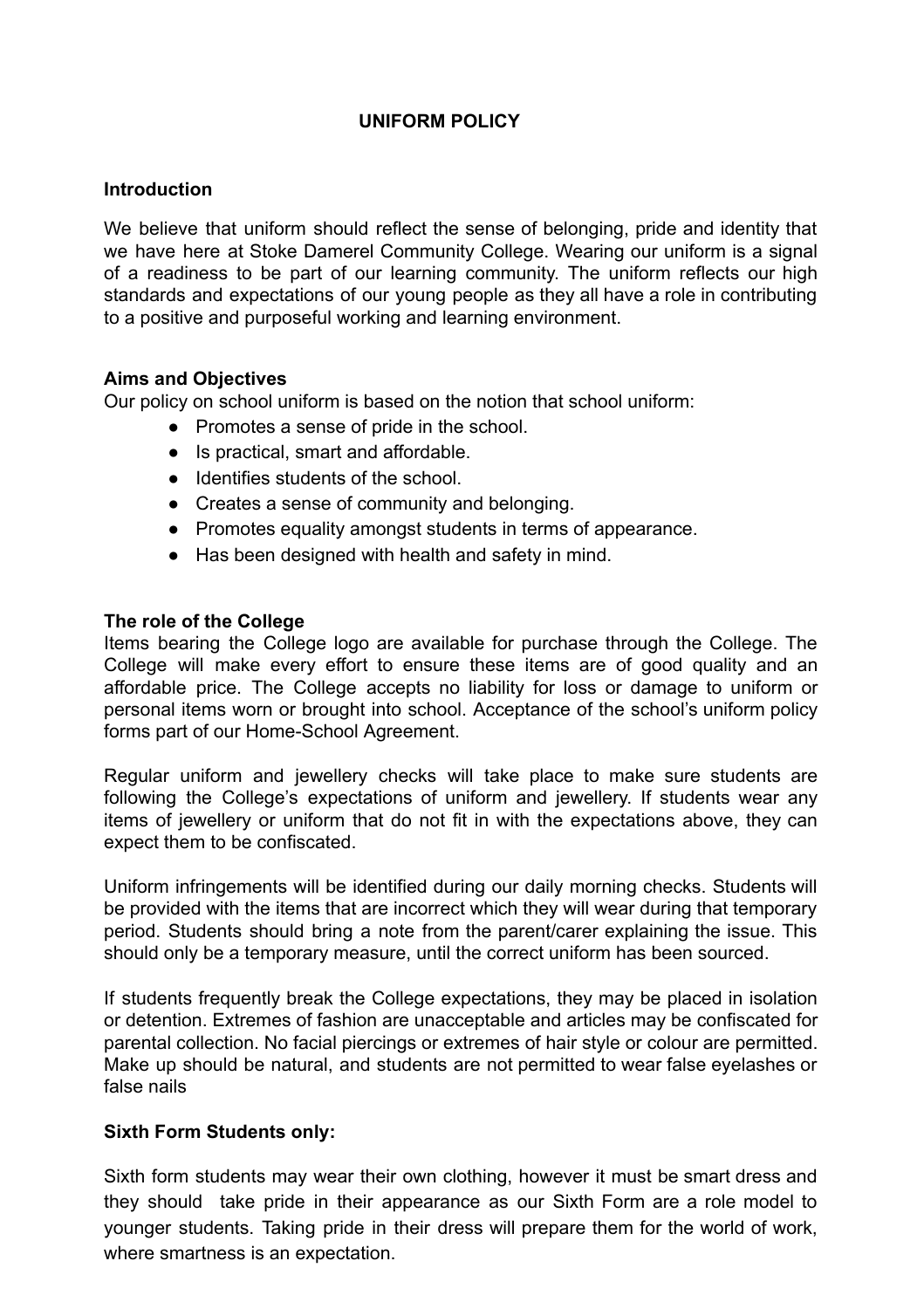# **UNIFORM POLICY**

# **Introduction**

We believe that uniform should reflect the sense of belonging, pride and identity that we have here at Stoke Damerel Community College. Wearing our uniform is a signal of a readiness to be part of our learning community. The uniform reflects our high standards and expectations of our young people as they all have a role in contributing to a positive and purposeful working and learning environment.

# **Aims and Objectives**

Our policy on school uniform is based on the notion that school uniform:

- Promotes a sense of pride in the school.
- Is practical, smart and affordable.
- Identifies students of the school.
- Creates a sense of community and belonging.
- Promotes equality amongst students in terms of appearance.
- Has been designed with health and safety in mind.

# **The role of the College**

Items bearing the College logo are available for purchase through the College. The College will make every effort to ensure these items are of good quality and an affordable price. The College accepts no liability for loss or damage to uniform or personal items worn or brought into school. Acceptance of the school's uniform policy forms part of our Home-School Agreement.

Regular uniform and jewellery checks will take place to make sure students are following the College's expectations of uniform and jewellery. If students wear any items of jewellery or uniform that do not fit in with the expectations above, they can expect them to be confiscated.

Uniform infringements will be identified during our daily morning checks. Students will be provided with the items that are incorrect which they will wear during that temporary period. Students should bring a note from the parent/carer explaining the issue. This should only be a temporary measure, until the correct uniform has been sourced.

If students frequently break the College expectations, they may be placed in isolation or detention. Extremes of fashion are unacceptable and articles may be confiscated for parental collection. No facial piercings or extremes of hair style or colour are permitted. Make up should be natural, and students are not permitted to wear false eyelashes or false nails

# **Sixth Form Students only:**

Sixth form students may wear their own clothing, however it must be smart dress and they should take pride in their appearance as our Sixth Form are a role model to younger students. Taking pride in their dress will prepare them for the world of work, where smartness is an expectation.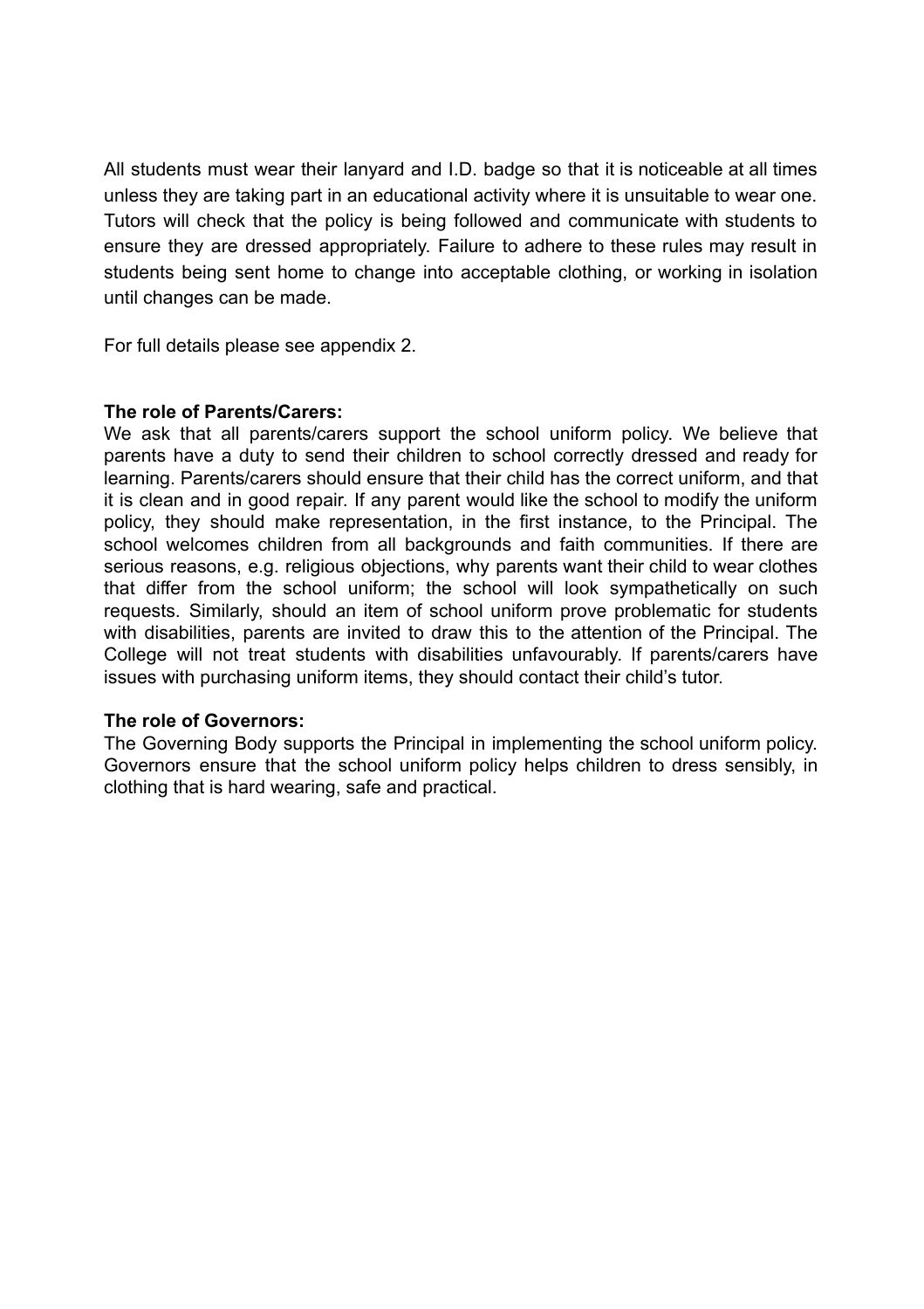All students must wear their lanyard and I.D. badge so that it is noticeable at all times unless they are taking part in an educational activity where it is unsuitable to wear one. Tutors will check that the policy is being followed and communicate with students to ensure they are dressed appropriately. Failure to adhere to these rules may result in students being sent home to change into acceptable clothing, or working in isolation until changes can be made.

For full details please see appendix 2.

#### **The role of Parents/Carers:**

We ask that all parents/carers support the school uniform policy. We believe that parents have a duty to send their children to school correctly dressed and ready for learning. Parents/carers should ensure that their child has the correct uniform, and that it is clean and in good repair. If any parent would like the school to modify the uniform policy, they should make representation, in the first instance, to the Principal. The school welcomes children from all backgrounds and faith communities. If there are serious reasons, e.g. religious objections, why parents want their child to wear clothes that differ from the school uniform; the school will look sympathetically on such requests. Similarly, should an item of school uniform prove problematic for students with disabilities, parents are invited to draw this to the attention of the Principal. The College will not treat students with disabilities unfavourably. If parents/carers have issues with purchasing uniform items, they should contact their child's tutor.

# **The role of Governors:**

The Governing Body supports the Principal in implementing the school uniform policy. Governors ensure that the school uniform policy helps children to dress sensibly, in clothing that is hard wearing, safe and practical.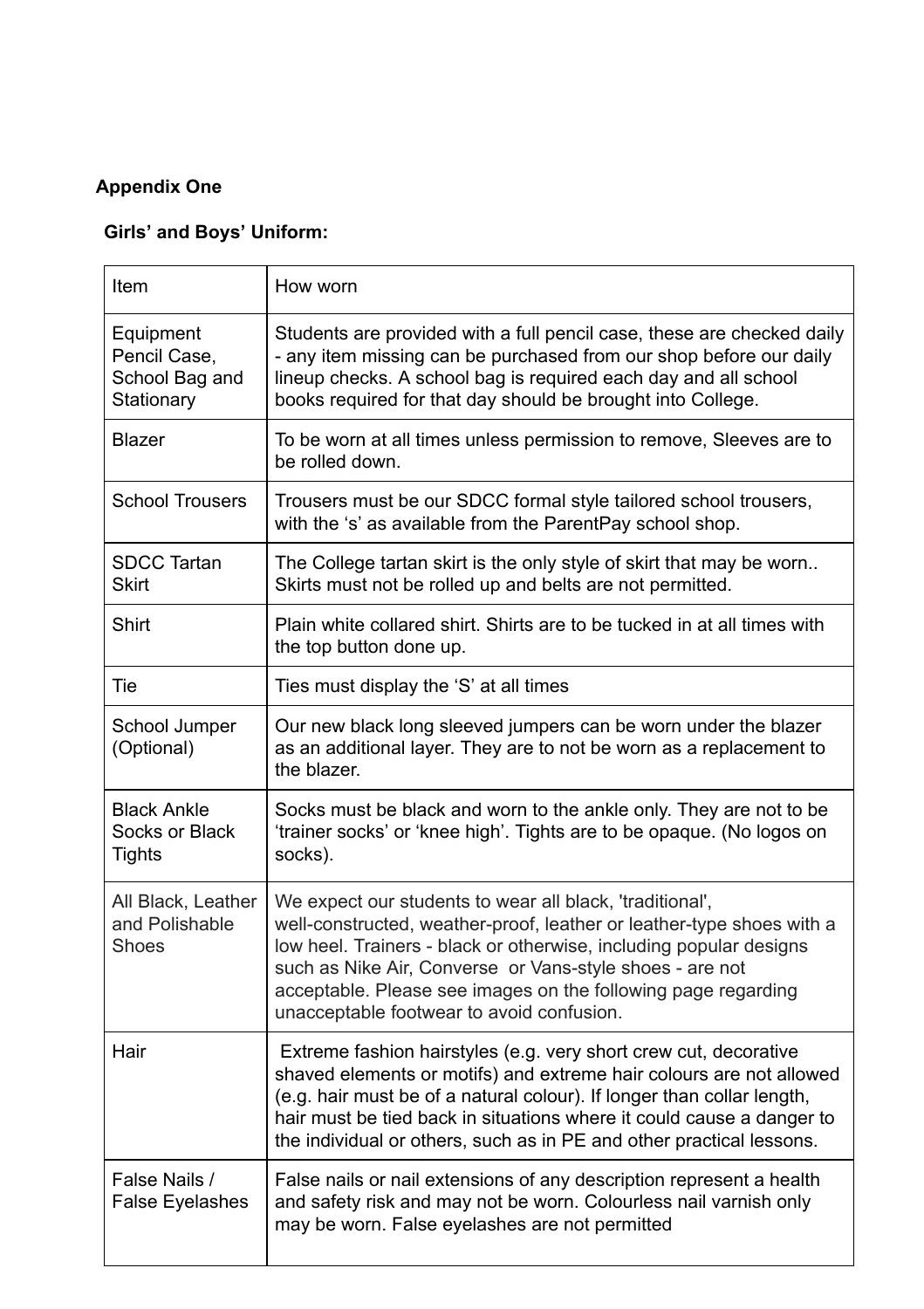# **Appendix One**

# **Girls' and Boys' Uniform:**

| Item                                                      | How worn                                                                                                                                                                                                                                                                                                                                                                          |  |
|-----------------------------------------------------------|-----------------------------------------------------------------------------------------------------------------------------------------------------------------------------------------------------------------------------------------------------------------------------------------------------------------------------------------------------------------------------------|--|
| Equipment<br>Pencil Case,<br>School Bag and<br>Stationary | Students are provided with a full pencil case, these are checked daily<br>- any item missing can be purchased from our shop before our daily<br>lineup checks. A school bag is required each day and all school<br>books required for that day should be brought into College.                                                                                                    |  |
| <b>Blazer</b>                                             | To be worn at all times unless permission to remove, Sleeves are to<br>be rolled down.                                                                                                                                                                                                                                                                                            |  |
| <b>School Trousers</b>                                    | Trousers must be our SDCC formal style tailored school trousers,<br>with the 's' as available from the ParentPay school shop.                                                                                                                                                                                                                                                     |  |
| <b>SDCC Tartan</b><br><b>Skirt</b>                        | The College tartan skirt is the only style of skirt that may be worn<br>Skirts must not be rolled up and belts are not permitted.                                                                                                                                                                                                                                                 |  |
| <b>Shirt</b>                                              | Plain white collared shirt. Shirts are to be tucked in at all times with<br>the top button done up.                                                                                                                                                                                                                                                                               |  |
| Tie                                                       | Ties must display the 'S' at all times                                                                                                                                                                                                                                                                                                                                            |  |
| School Jumper<br>(Optional)                               | Our new black long sleeved jumpers can be worn under the blazer<br>as an additional layer. They are to not be worn as a replacement to<br>the blazer.                                                                                                                                                                                                                             |  |
| <b>Black Ankle</b><br>Socks or Black<br><b>Tights</b>     | Socks must be black and worn to the ankle only. They are not to be<br>'trainer socks' or 'knee high'. Tights are to be opaque. (No logos on<br>socks).                                                                                                                                                                                                                            |  |
| All Black, Leather<br>and Polishable<br><b>Shoes</b>      | We expect our students to wear all black, 'traditional',<br>well-constructed, weather-proof, leather or leather-type shoes with a<br>low heel. Trainers - black or otherwise, including popular designs<br>such as Nike Air, Converse or Vans-style shoes - are not<br>acceptable. Please see images on the following page regarding<br>unacceptable footwear to avoid confusion. |  |
| Hair                                                      | Extreme fashion hairstyles (e.g. very short crew cut, decorative<br>shaved elements or motifs) and extreme hair colours are not allowed<br>(e.g. hair must be of a natural colour). If longer than collar length,<br>hair must be tied back in situations where it could cause a danger to<br>the individual or others, such as in PE and other practical lessons.                |  |
| False Nails /<br><b>False Eyelashes</b>                   | False nails or nail extensions of any description represent a health<br>and safety risk and may not be worn. Colourless nail varnish only<br>may be worn. False eyelashes are not permitted                                                                                                                                                                                       |  |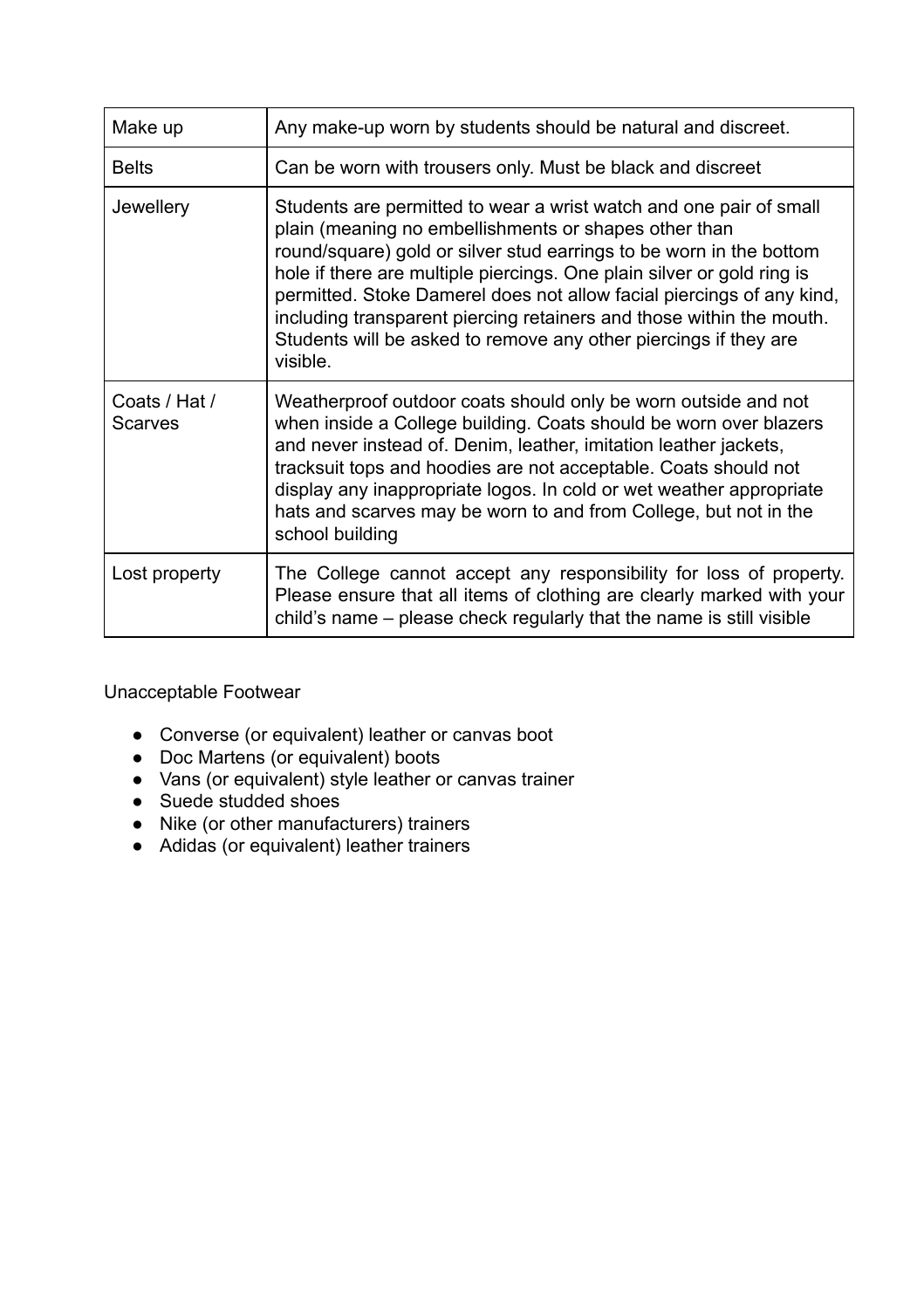| Make up                  | Any make-up worn by students should be natural and discreet.                                                                                                                                                                                                                                                                                                                                                                                                                                                  |  |
|--------------------------|---------------------------------------------------------------------------------------------------------------------------------------------------------------------------------------------------------------------------------------------------------------------------------------------------------------------------------------------------------------------------------------------------------------------------------------------------------------------------------------------------------------|--|
| <b>Belts</b>             | Can be worn with trousers only. Must be black and discreet                                                                                                                                                                                                                                                                                                                                                                                                                                                    |  |
| Jewellery                | Students are permitted to wear a wrist watch and one pair of small<br>plain (meaning no embellishments or shapes other than<br>round/square) gold or silver stud earrings to be worn in the bottom<br>hole if there are multiple piercings. One plain silver or gold ring is<br>permitted. Stoke Damerel does not allow facial piercings of any kind,<br>including transparent piercing retainers and those within the mouth.<br>Students will be asked to remove any other piercings if they are<br>visible. |  |
| Coats / Hat /<br>Scarves | Weatherproof outdoor coats should only be worn outside and not<br>when inside a College building. Coats should be worn over blazers<br>and never instead of. Denim, leather, imitation leather jackets,<br>tracksuit tops and hoodies are not acceptable. Coats should not<br>display any inappropriate logos. In cold or wet weather appropriate<br>hats and scarves may be worn to and from College, but not in the<br>school building                                                                      |  |
| Lost property            | The College cannot accept any responsibility for loss of property.<br>Please ensure that all items of clothing are clearly marked with your<br>child's name – please check regularly that the name is still visible                                                                                                                                                                                                                                                                                           |  |

Unacceptable Footwear

- Converse (or equivalent) leather or canvas boot
- Doc Martens (or equivalent) boots
- Vans (or equivalent) style leather or canvas trainer
- Suede studded shoes
- Nike (or other manufacturers) trainers
- Adidas (or equivalent) leather trainers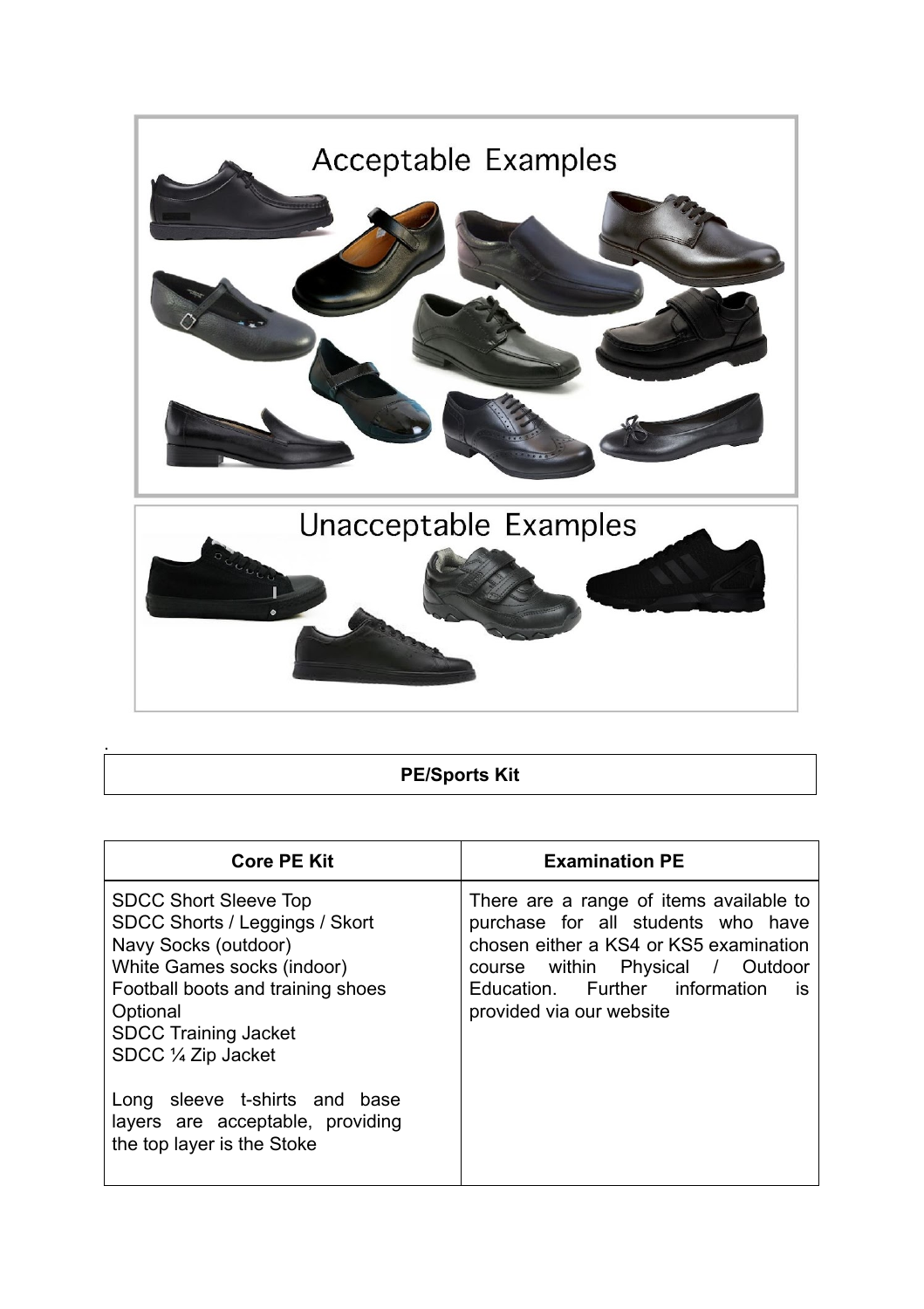

**PE/Sports Kit**

| <b>Core PE Kit</b>                                                                                                                                                                                                          | <b>Examination PE</b>                                                                                                                                                                                                                  |
|-----------------------------------------------------------------------------------------------------------------------------------------------------------------------------------------------------------------------------|----------------------------------------------------------------------------------------------------------------------------------------------------------------------------------------------------------------------------------------|
| <b>SDCC Short Sleeve Top</b><br>SDCC Shorts / Leggings / Skort<br>Navy Socks (outdoor)<br>White Games socks (indoor)<br>Football boots and training shoes<br>Optional<br><b>SDCC Training Jacket</b><br>SDCC 1/4 Zip Jacket | There are a range of items available to<br>purchase for all students who have<br>chosen either a KS4 or KS5 examination<br>course within Physical / Outdoor<br>Education. Further information<br><b>is</b><br>provided via our website |
| Long sleeve t-shirts and base<br>layers are acceptable, providing<br>the top layer is the Stoke                                                                                                                             |                                                                                                                                                                                                                                        |